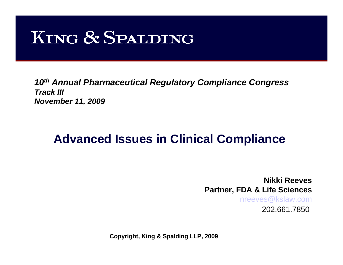# **KING & SPALDING**

*10th Annual Pharmaceutical Regulatory Compliance Congress Track IIINovember 11, 2009*

#### **Advanced Issues in Clinical Compliance**

**Nikki ReevesPartner, FDA & Life Sciences**

[nreeves@kslaw.com](mailto:nreeves@kslaw.com)

202.661.7850

**Copyright, King & Spalding LLP, 2009**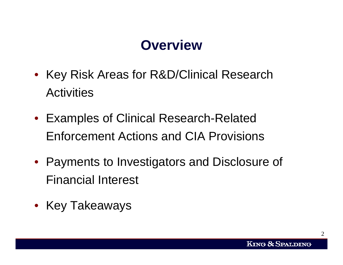## **Overview**

- Key Risk Areas for R&D/Clinical Research **Activities**
- Examples of Clinical Research-Related Enforcement Actions and CIA Provisions
- Payments to Investigators and Disclosure of Financial Interest
- Key Takeaways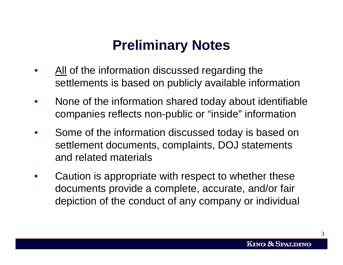# **Preliminary Notes**

- All of the information discussed regarding the settlements is based on publicly available information
- None of the information shared today about identifiable companies reflects non-public or "inside" information
- Some of the information discussed today is based on settlement documents, complaints, DOJ statements and related materials
- Caution is appropriate with respect to whether these documents provide a complete, accurate, and/or fair depiction of the conduct of any company or individual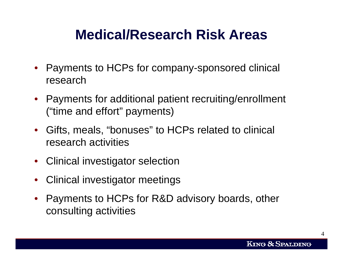#### **Medical/Research Risk Areas**

- Payments to HCPs for company-sponsored clinical research
- Payments for additional patient recruiting/enrollment ("time and effort" payments)
- Gifts, meals, "bonuses" to HCPs related to clinical research activities
- Clinical investigator selection
- Clinical investigator meetings
- Payments to HCPs for R&D advisory boards, other consulting activities

 $\varDelta$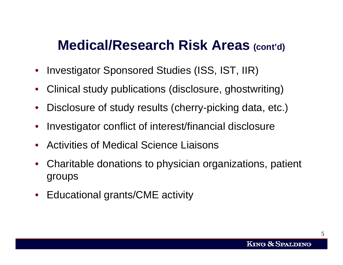#### **Medical/Research Risk Areas (cont'd)**

- Investigator Sponsored Studies (ISS, IST, IIR)
- Clinical study publications (disclosure, ghostwriting)
- Disclosure of study results (cherry-picking data, etc.)
- Investigator conflict of interest/financial disclosure
- Activities of Medical Science Liaisons
- Charitable donations to physician organizations, patient groups
- Educational grants/CME activity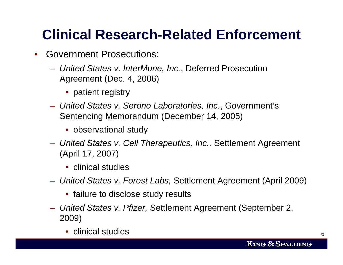# **Clinical Research-Related Enforcement**

- Government Prosecutions:
	- *United States v. InterMune, Inc.*, Deferred Prosecution Agreement (Dec. 4, 2006)
		- patient registry
	- *United States v. Serono Laboratories, Inc.*, Government's Sentencing Memorandum (December 14, 2005)
		- observational study
	- *United States v. Cell Therapeutics*, *Inc.,* Settlement Agreement (April 17, 2007)
		- clinical studies
	- *United States v. Forest Labs,* Settlement Agreement (April 2009)
		- failure to disclose study results
	- *United States v. Pfizer,* Settlement Agreement (September 2, 2009)
		- clinical studies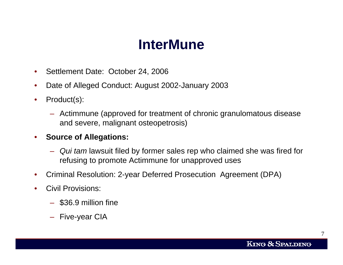## **InterMune**

- Settlement Date: October 24, 2006
- Date of Alleged Conduct: August 2002-January 2003
- Product(s):
	- Actimmune (approved for treatment of chronic granulomatous disease and severe, malignant osteopetrosis)
- **Source of Allegations:** 
	- *Qui tam* lawsuit filed by former sales rep who claimed she was fired for refusing to promote Actimmune for unapproved uses
- Criminal Resolution: 2-year Deferred Prosecution Agreement (DPA)
- Civil Provisions:
	- \$36.9 million fine
	- Five-year CIA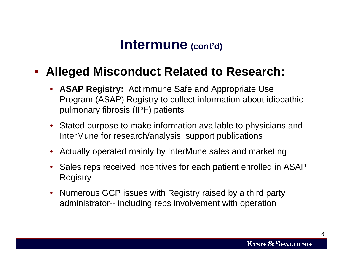#### **Intermune (cont'd)**

#### • **Alleged Misconduct Related to Research:**

- **ASAP Registry:** Actimmune Safe and Appropriate Use Program (ASAP) Registry to collect information about idiopathic pulmonary fibrosis (IPF) patients
- Stated purpose to make information available to physicians and InterMune for research/analysis, support publications
- Actually operated mainly by InterMune sales and marketing
- Sales reps received incentives for each patient enrolled in ASAP Registry
- Numerous GCP issues with Registry raised by a third party administrator-- including reps involvement with operation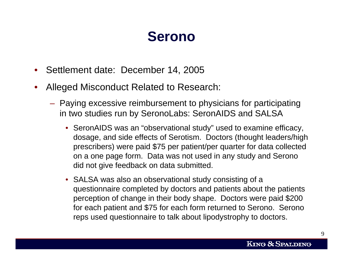#### **Serono**

- Settlement date: December 14, 2005
- Alleged Misconduct Related to Research:
	- Paying excessive reimbursement to physicians for participating in two studies run by SeronoLabs: SeronAIDS and SALSA
		- SeronAIDS was an "observational study" used to examine efficacy, dosage, and side effects of Serotism. Doctors (thought leaders/high prescribers) were paid \$75 per patient/per quarter for data collected on a one page form. Data was not used in any study and Serono did not give feedback on data submitted.
		- SALSA was also an observational study consisting of a questionnaire completed by doctors and patients about the patients perception of change in their body shape. Doctors were paid \$200 for each patient and \$75 for each form returned to Serono. Serono reps used questionnaire to talk about lipodystrophy to doctors.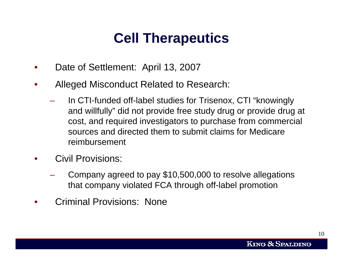# **Cell Therapeutics**

- Date of Settlement: April 13, 2007
- Alleged Misconduct Related to Research:
	- In CTI-funded off-label studies for Trisenox, CTI "knowingly and willfully" did not provide free study drug or provide drug at cost, and required investigators to purchase from commercial sources and directed them to submit claims for Medicare reimbursement
- Civil Provisions:
	- Company agreed to pay \$10,500,000 to resolve allegations that company violated FCA through off-label promotion
- Criminal Provisions: None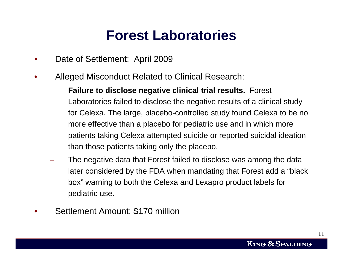#### **Forest Laboratories**

- Date of Settlement: April 2009
- Alleged Misconduct Related to Clinical Research:
	- **Failure to disclose negative clinical trial results.** Forest Laboratories failed to disclose the negative results of a clinical study for Celexa. The large, placebo-controlled study found Celexa to be no more effective than a placebo for pediatric use and in which more patients taking Celexa attempted suicide or reported suicidal ideation than those patients taking only the placebo.
	- The negative data that Forest failed to disclose was among the data later considered by the FDA when mandating that Forest add a "black box" warning to both the Celexa and Lexapro product labels for pediatric use.
- Settlement Amount: \$170 million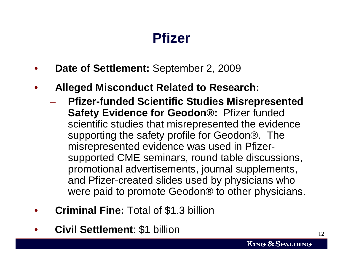#### **Pfizer**

- **Date of Settlement:** September 2, 2009
- **Alleged Misconduct Related to Research:** 
	- **Pfizer-funded Scientific Studies Misrepresented Safety Evidence for Geodon®:** Pfizer funded scientific studies that misrepresented the evidence supporting the safety profile for Geodon®. The misrepresented evidence was used in Pfizersupported CME seminars, round table discussions, promotional advertisements, journal supplements, and Pfizer-created slides used by physicians who were paid to promote Geodon® to other physicians.
- **Criminal Fine:** Total of \$1.3 billion
- **Civil Settlement**: \$1 billion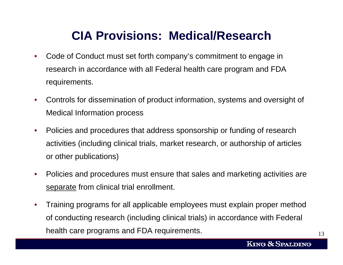#### **CIA Provisions: Medical/Research**

- Code of Conduct must set forth company's commitment to engage in research in accordance with all Federal health care program and FDA requirements.
- Controls for dissemination of product information, systems and oversight of Medical Information process
- Policies and procedures that address sponsorship or funding of research activities (including clinical trials, market research, or authorship of articles or other publications)
- Policies and procedures must ensure that sales and marketing activities are separate from clinical trial enrollment.
- Training programs for all applicable employees must explain proper method of conducting research (including clinical trials) in accordance with Federal health care programs and FDA requirements.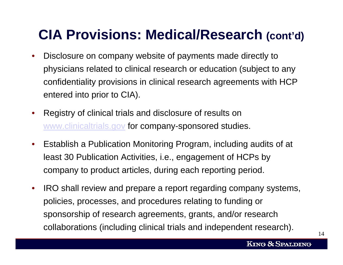# **CIA Provisions: Medical/Research (cont'd)**

- Disclosure on company website of payments made directly to physicians related to clinical research or education (subject to any confidentiality provisions in clinical research agreements with HCP entered into prior to CIA).
- Registry of clinical trials and disclosure of results on [www.clinicaltrials.gov](http://www.clinicaltrials.gov/) for company-sponsored studies.
- Establish a Publication Monitoring Program, including audits of at least 30 Publication Activities, i.e., engagement of HCPs by company to product articles, during each reporting period.
- IRO shall review and prepare a report regarding company systems, policies, processes, and procedures relating to funding or sponsorship of research agreements, grants, and/or research collaborations (including clinical trials and independent research).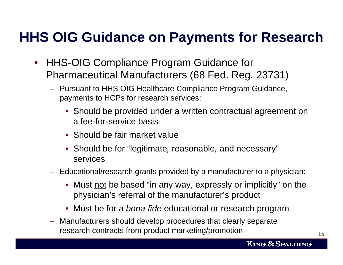# **HHS OIG Guidance on Payments for Research**

- HHS-OIG Compliance Program Guidance for Pharmaceutical Manufacturers (68 Fed. Reg. 23731)
	- Pursuant to HHS OIG Healthcare Compliance Program Guidance, payments to HCPs for research services:
		- Should be provided under a written contractual agreement on a fee-for-service basis
		- Should be fair market value
		- Should be for "legitimate*,* reasonable*,* and necessary" services
	- Educational/research grants provided by a manufacturer to a physician:
		- Must not be based "in any way, expressly or implicitly" on the physician's referral of the manufacturer's product
		- Must be for a *bona fide* educational or research program
	- Manufacturers should develop procedures that clearly separate research contracts from product marketing/promotion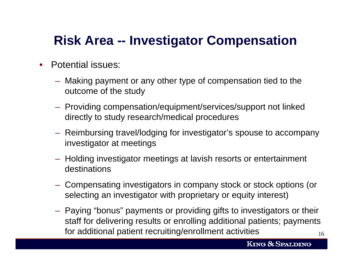#### **Risk Area -- Investigator Compensation**

- Potential issues:
	- Making payment or any other type of compensation tied to the outcome of the study
	- Providing compensation/equipment/services/support not linked directly to study research/medical procedures
	- Reimbursing travel/lodging for investigator's spouse to accompany investigator at meetings
	- Holding investigator meetings at lavish resorts or entertainment destinations
	- Compensating investigators in company stock or stock options (or selecting an investigator with proprietary or equity interest)
	- 16– Paying "bonus" payments or providing gifts to investigators or their staff for delivering results or enrolling additional patients; payments for additional patient recruiting/enrollment activities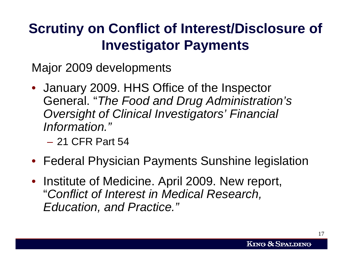# **Scrutiny on Conflict of Interest/Disclosure of Investigator Payments**

Major 2009 developments

- January 2009. HHS Office of the Inspector General. "*The Food and Drug Administration's Oversight of Clinical Investigators' Financial Information."*
	- 21 CFR Part 54
- Federal Physician Payments Sunshine legislation
- Institute of Medicine. April 2009. New report, "*Conflict of Interest in Medical Research, Education, and Practice."*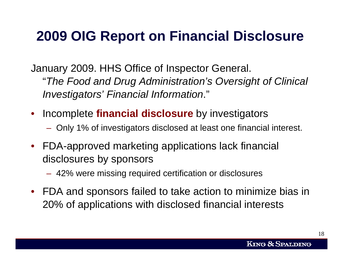# **2009 OIG Report on Financial Disclosure**

January 2009. HHS Office of Inspector General. "*The Food and Drug Administration's Oversight of Clinical Investigators' Financial Information*."

- Incomplete **financial disclosure** by investigators
	- Only 1% of investigators disclosed at least one financial interest.
- FDA-approved marketing applications lack financial disclosures by sponsors
	- 42% were missing required certification or disclosures
- FDA and sponsors failed to take action to minimize bias in 20% of applications with disclosed financial interests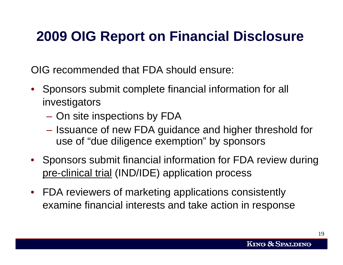# **2009 OIG Report on Financial Disclosure**

OIG recommended that FDA should ensure:

- Sponsors submit complete financial information for all investigators
	- On site inspections by FDA
	- Issuance of new FDA guidance and higher threshold for use of "due diligence exemption" by sponsors
- Sponsors submit financial information for FDA review during pre-clinical trial (IND/IDE) application process
- FDA reviewers of marketing applications consistently examine financial interests and take action in response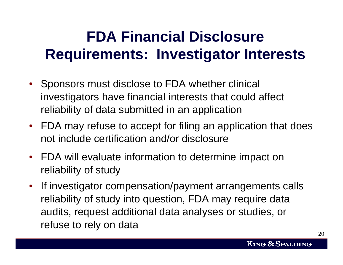# **FDA Financial Disclosure Requirements: Investigator Interests**

- Sponsors must disclose to FDA whether clinical investigators have financial interests that could affect reliability of data submitted in an application
- FDA may refuse to accept for filing an application that does not include certification and/or disclosure
- FDA will evaluate information to determine impact on reliability of study
- If investigator compensation/payment arrangements calls reliability of study into question, FDA may require data audits, request additional data analyses or studies, or refuse to rely on data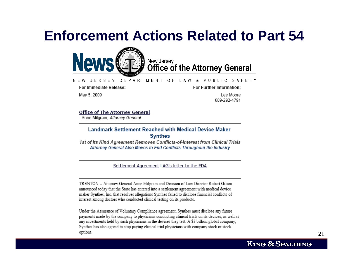#### **Enforcement Actions Related to Part 54**



#### DEPARTMENT OF PUBLIC SAFETY N F W JERSEY IAW

For Immediate Release:

For Further Information:

May 5, 2009

Lee Moore 609-292-4791

#### **Office of The Attorney General**

- Anne Milgram, Attorney General

#### **Landmark Settlement Reached with Medical Device Maker Synthes**

1st of Its Kind Agreement Removes Conflicts-of-Interest from Clinical Trials Attorney General Also Moves to End Conflicts Throughout the Industry

Settlement Agreement I AG's letter to the FDA

TRENTON -- Attorney General Anne Milgram and Division of Law Director Robert Gilson announced today that the State has entered into a settlement agreement with medical device maker Synthes, Inc. that resolves allegations Synthes failed to disclose financial conflicts-ofinterest among doctors who conducted clinical testing on its products.

Under the Assurance of Voluntary Compliance agreement, Synthes must disclose any future payments made by the company to physicians conducting clinical trials on its devices, as well as any investments held by such physicians in the devices they test. A \$3 billion global company, Synthes has also agreed to stop paying clinical trial physicians with company stock or stock options.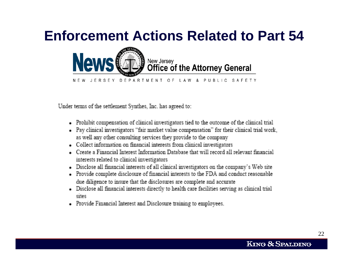# **Enforcement Actions Related to Part 54**



Under terms of the settlement Synthes, Inc. has agreed to:

- Prohibit compensation of clinical investigators tied to the outcome of the clinical trial
- Pay clinical investigators "fair market value compensation" for their clinical trial work, as well any other consulting services they provide to the company
- Collect information on financial interests from clinical investigators
- Create a Financial Interest Information Database that will record all relevant financial interests related to clinical investigators
- Disclose all financial interests of all clinical investigators on the company's Web site
- Provide complete disclosure of financial interests to the FDA and conduct reasonable due diligence to insure that the disclosures are complete and accurate
- Disclose all financial interests directly to health care facilities serving as clinical trial sites
- Provide Financial Interest and Disclosure training to employees.